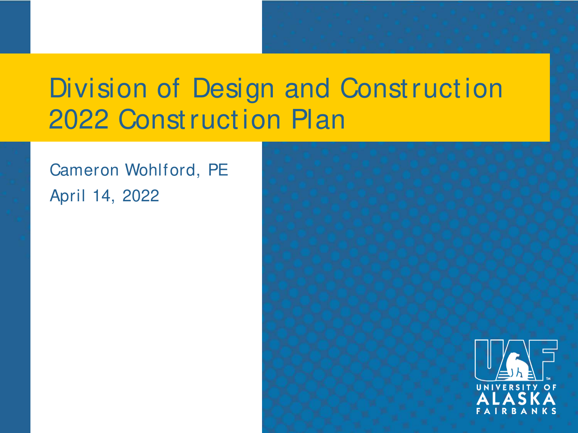### Division of Design and Const ruct ion 2022 Construction Plan

#### Cameron Wohlford, PE April 14, 2022

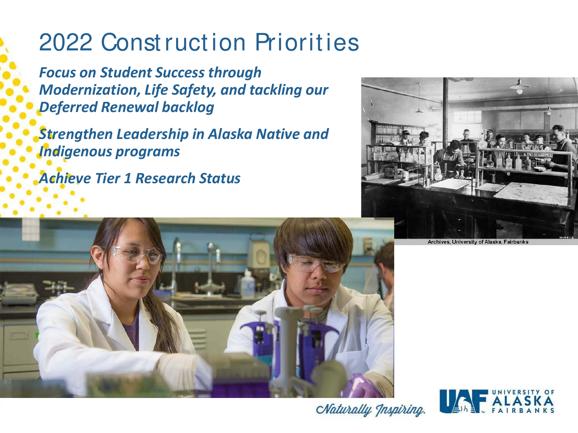#### 2022 Construction Priorities

*Focus on Student Success through Modernization, Life Safety, and tackling our Deferred Renewal backlog*

*Strengthen Leadership in Alaska Native and Indigenous programs*

*Achieve Tier 1 Research Status*







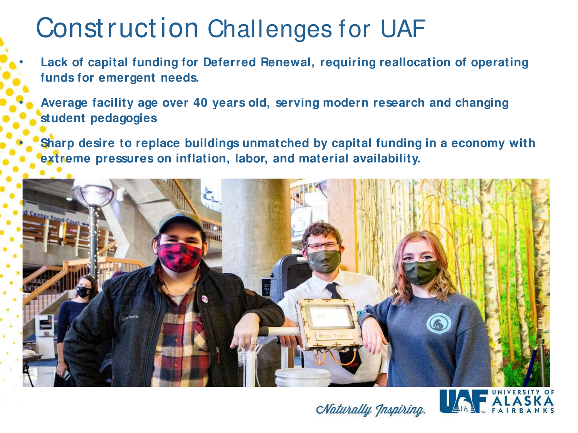## Const ruct ion Challenges for UAF

Lack of capital funding for Deferred Renewal, requiring reallocation of operating **funds for emergent needs.**

• **Average facility age over 40 years old, serving modern research and changing student pedagogies**

• **Sharp desire to replace buildings unmatched by capital funding in a economy with extreme pressures on inflation, labor, and material availability.**





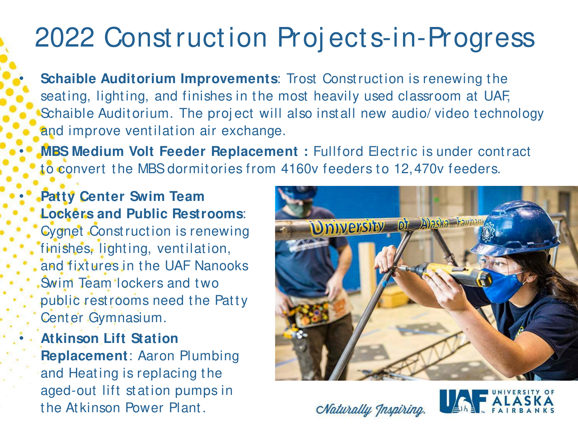## 2022 Const ruct ion Proj ect s-in-Progress

**Schaible Auditorium Improvements: Trost Construction is renewing the** seating, lighting, and finishes in the most heavily used classroom at UAF, Schaible Auditorium. The project will also install new audio/ video technology and improve ventilation air exchange.

**MBS Medium Volt Feeder Replacement:** Fullford Electric is under contract to convert the MBS dormitories from 4160v feeders to 12,470v feeders.

• **Patty Center Swim Team Lockers and Public Restrooms**: Cygnet Const ruct ion is renewing finishes, lighting, ventilation, and fixtures in the UAF Nanooks . Swim Team lockers and two public rest rooms need the Patty Cent er Gymnasium.

• **Atkinson Lift Station Replacement**: Aaron Plumbing and Heating is replacing the aged-out lift station pumps in t he At kinson Power Plant .





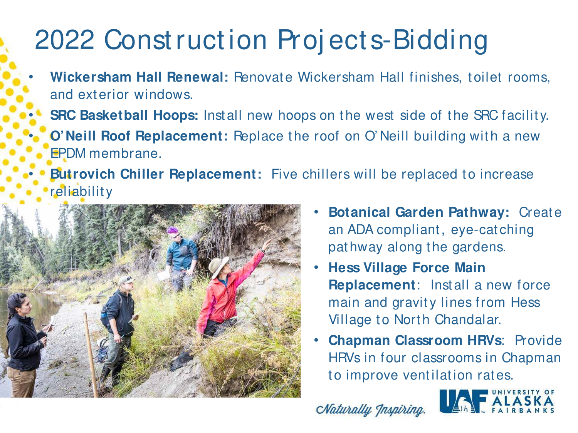## 2022 Const ruct ion Proj ect s-Bidding

- Wickersham Hall Renewal: Renovate Wickersham Hall finishes, toilet rooms, and ext erior windows.
	- **SRC Basketball Hoops:** Install new hoops on the west side of the SRC facility.
	- **O' Neill Roof Replacement:** Replace the roof on O' Neill building with a new EPDM membrane.
	- **Butrovich Chiller Replacement:** Five chillers will be replaced to increase reliability



- **Botanical Garden Pathway: Create** an ADA compliant , eye-cat ching pat hway along the gardens.
- **Hess Village Force Main Replacement:** Install a new force main and gravity lines from Hess Village to North Chandalar.
- **Chapman Classroom HRVs: Provide** HRVs in four classrooms in Chapman to improve ventilation rates.

Naturally Inspiring

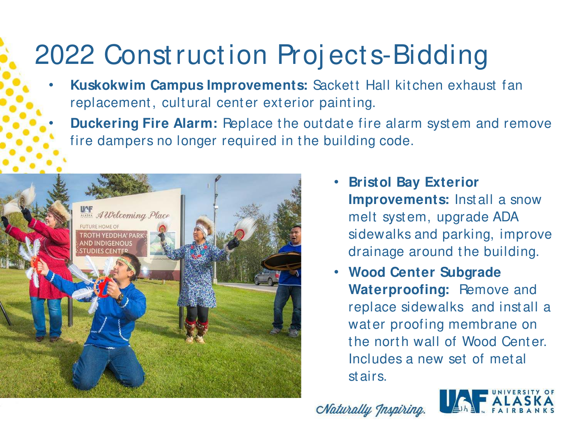# 2022 Const ruct ion Proj ect s-Bidding

- **Kuskokwim Campus Improvements: Sackett Hall kitchen exhaust fan** replacement, cultural center exterior painting.
	- **Duckering Fire Alarm:** Replace the outdate fire alarm system and remove fire dampers no longer required in the building code.



- **Bristol Bay Exterior Improvements:** Install a snow melt syst em, upgrade ADA sidewalks and parking, improve drainage around the building.
- **Wood Center Subgrade Waterproofing: Remove and** replace sidewalks and inst all a water proofing membrane on the north wall of Wood Center. Includes a new set of met al st airs.

Naturally Inspiring

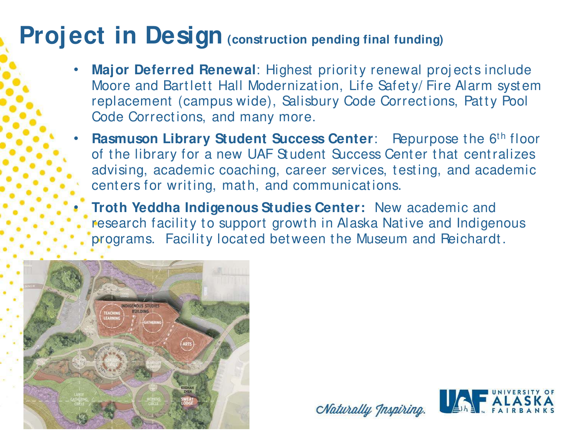#### **Project in Design** (construction pending final funding)

- **Major Deferred Renewal:** Highest priority renewal projects include Moore and Bartlett Hall Modernization, Life Safety/Fire Alarm system replacement (campus wide), Salisbury Code Corrections, Patty Pool Code Corrections, and many more.
- **Rasmuson Library Student Success Center:** Repurpose the 6<sup>th</sup> floor of the library for a new UAF Student Success Center that centralizes advising, academic coaching, career services, testing, and academic cent ers for writing, math, and communications.

• **Troth Yeddha Indigenous Studies Center:** New academic and research facility to support growth in Alaska Native and Indigenous programs. Facility located between the Museum and Reichardt.





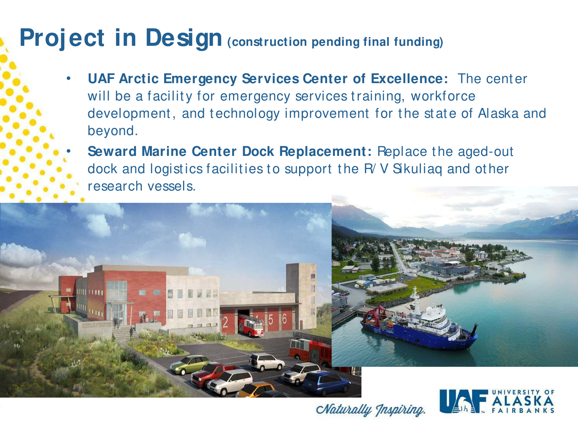#### **Project in Design** (construction pending final funding)

- **UAF Arctic Emergency Services Center of Excellence:** The cent er will be a facility for emergency services training, workforce development, and technology improvement for the state of Alaska and beyond.
	- **Seward Marine Center Dock Replacement:** Replace the aged-out dock and logistics facilities to support the R/V Sikuliaq and other research vessels.



Naturally Inspiring